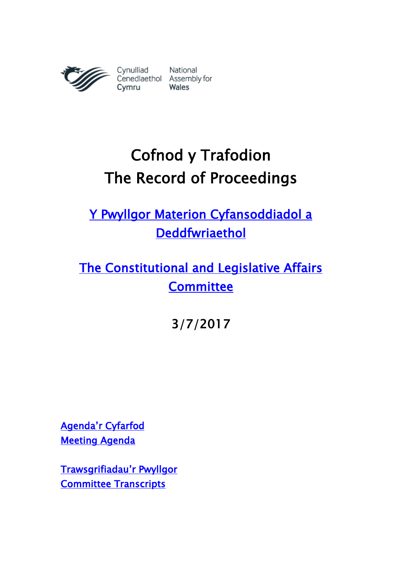

# Cofnod y Trafodion The Record of Proceedings

[Y Pwyllgor Materion Cyfansoddiadol a](http://www.senedd.cynulliad.cymru/mgCommitteeDetails.aspx?ID=434)  [Deddfwriaethol](http://www.senedd.cynulliad.cymru/mgCommitteeDetails.aspx?ID=434) 

[The Constitutional and Legislative Affairs](http://www.senedd.assembly.wales/mgCommitteeDetails.aspx?ID=434)  **Committee** 

3/7/2017

[Agenda'r Cyfarfod](http://senedd.cynulliad.cymru/ieListDocuments.aspx?CId=434&MId=4102&Ver=4) [Meeting Agenda](http://www.senedd.assembly.wales/ieListDocuments.aspx?CId=434&MId=4102&Ver=4) 

[Trawsgrifiadau](http://www.senedd.cynulliad.cymru/mgIssueHistoryHome.aspx?IId=15034)'r Pwyllgor [Committee Transcripts](http://www.senedd.assembly.wales/mgIssueHistoryHome.aspx?IId=15034)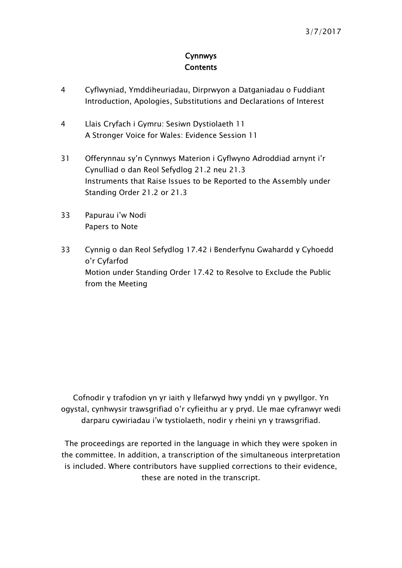## Cynnwys **Contents**

- [4](#page-3-0) [Cyflwyniad, Ymddiheuriadau, Dirprwyon a Datganiadau o Fuddiant](#page-3-0)  [Introduction, Apologies, Substitutions and Declarations of Interest](#page-3-0)
- 4 [Llais Cryfach i Gymru: Sesiwn Dystiolaeth 11](#page-3-1) [A Stronger Voice for Wales: Evidence Session 11](#page-3-1)
- 31 [Offerynnau sy'n Cynnwys Materion i Gyflwyno Adroddiad arnynt i'r](#page-30-0)  [Cynulliad o dan Reol Sefydlog 21.2 neu 21.3](#page-30-0) [Instruments that Raise Issues to be Reported to the Assembly under](#page-30-0)  [Standing Order 21.2 or 21.3](#page-30-0)
- 33 [Papurau i'w Nodi](#page-32-0) [Papers to Note](#page-32-0)
- 33 [Cynnig o dan Reol Sefydlog 17.42 i Benderfynu Gwahardd y Cyhoedd](#page-32-1)  [o'r Cyfarfod](#page-32-1) [Motion under Standing Order 17.42 to Resolve to Exclude the Public](#page-32-1)  [from the Meeting](#page-32-1)

Cofnodir y trafodion yn yr iaith y llefarwyd hwy ynddi yn y pwyllgor. Yn ogystal, cynhwysir trawsgrifiad o'r cyfieithu ar y pryd. Lle mae cyfranwyr wedi darparu cywiriadau i'w tystiolaeth, nodir y rheini yn y trawsgrifiad.

The proceedings are reported in the language in which they were spoken in the committee. In addition, a transcription of the simultaneous interpretation is included. Where contributors have supplied corrections to their evidence, these are noted in the transcript.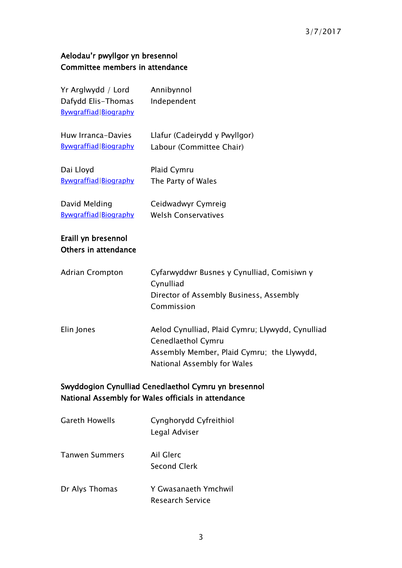## 3/7/2017

# Aelodau'r pwyllgor yn bresennol Committee members in attendance

| Yr Arglwydd / Lord<br>Dafydd Elis-Thomas<br>Bywgraffiad Biography                                           | Annibynnol<br>Independent                                                                                                                           |  |
|-------------------------------------------------------------------------------------------------------------|-----------------------------------------------------------------------------------------------------------------------------------------------------|--|
| Huw Irranca-Davies<br>Bywgraffiad Biography                                                                 | Llafur (Cadeirydd y Pwyllgor)<br>Labour (Committee Chair)                                                                                           |  |
| Dai Lloyd<br>Bywgraffiad Biography                                                                          | Plaid Cymru<br>The Party of Wales                                                                                                                   |  |
| David Melding<br>Bywgraffiad Biography                                                                      | Ceidwadwyr Cymreig<br><b>Welsh Conservatives</b>                                                                                                    |  |
| Eraill yn bresennol<br>Others in attendance                                                                 |                                                                                                                                                     |  |
| <b>Adrian Crompton</b>                                                                                      | Cyfarwyddwr Busnes y Cynulliad, Comisiwn y<br>Cynulliad<br>Director of Assembly Business, Assembly<br>Commission                                    |  |
| Elin Jones                                                                                                  | Aelod Cynulliad, Plaid Cymru; Llywydd, Cynulliad<br>Cenedlaethol Cymru<br>Assembly Member, Plaid Cymru; the Llywydd,<br>National Assembly for Wales |  |
| Swyddogion Cynulliad Cenedlaethol Cymru yn bresennol<br>National Assembly for Wales officials in attendance |                                                                                                                                                     |  |

| <b>Gareth Howells</b> | Cynghorydd Cyfreithiol<br>Legal Adviser         |
|-----------------------|-------------------------------------------------|
| Tanwen Summers        | Ail Glerc<br><b>Second Clerk</b>                |
| Dr Alys Thomas        | Y Gwasanaeth Ymchwil<br><b>Research Service</b> |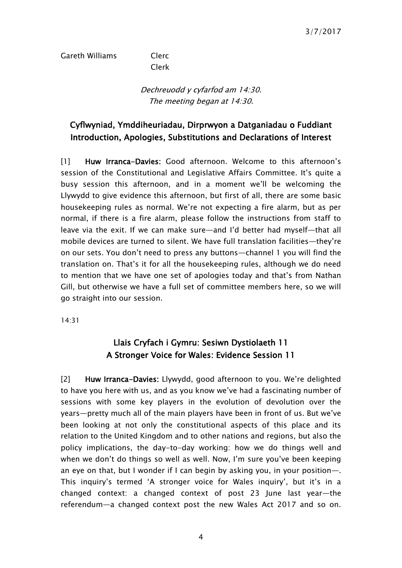### Gareth Williams Clerc

Clerk

Dechreuodd y cyfarfod am 14:30. The meeting began at 14:30.

## <span id="page-3-0"></span>Cyflwyniad, Ymddiheuriadau, Dirprwyon a Datganiadau o Fuddiant Introduction, Apologies, Substitutions and Declarations of Interest

[1] Huw Irranca-Davies: Good afternoon. Welcome to this afternoon's session of the Constitutional and Legislative Affairs Committee. It's quite a busy session this afternoon, and in a moment we'll be welcoming the Llywydd to give evidence this afternoon, but first of all, there are some basic housekeeping rules as normal. We're not expecting a fire alarm, but as per normal, if there is a fire alarm, please follow the instructions from staff to leave via the exit. If we can make sure—and I'd better had myself—that all mobile devices are turned to silent. We have full translation facilities—they're on our sets. You don't need to press any buttons—channel 1 you will find the translation on. That's it for all the housekeeping rules, although we do need to mention that we have one set of apologies today and that's from Nathan Gill, but otherwise we have a full set of committee members here, so we will go straight into our session.

<span id="page-3-1"></span>14:31

# Llais Cryfach i Gymru: Sesiwn Dystiolaeth 11 A Stronger Voice for Wales: Evidence Session 11

[2] Huw Irranca-Davies: Llywydd, good afternoon to you. We're delighted to have you here with us, and as you know we've had a fascinating number of sessions with some key players in the evolution of devolution over the years—pretty much all of the main players have been in front of us. But we've been looking at not only the constitutional aspects of this place and its relation to the United Kingdom and to other nations and regions, but also the policy implications, the day-to-day working: how we do things well and when we don't do things so well as well. Now, I'm sure you've been keeping an eye on that, but I wonder if I can begin by asking you, in your position—. This inquiry's termed 'A stronger voice for Wales inquiry', but it's in a changed context: a changed context of post 23 June last year—the referendum—a changed context post the new Wales Act 2017 and so on.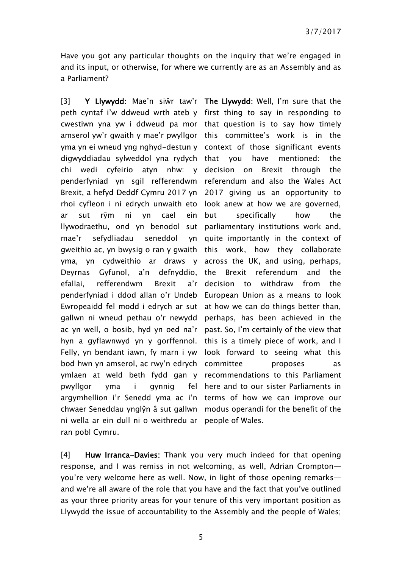Have you got any particular thoughts on the inquiry that we're engaged in and its input, or otherwise, for where we currently are as an Assembly and as a Parliament?

[3] Y Llywydd: Mae'n siŵr taw'r The Llywydd: Well, I'm sure that the peth cyntaf i'w ddweud wrth ateb y first thing to say in responding to cwestiwn yna yw i ddweud pa mor that question is to say how timely amserol yw'r gwaith y mae'r pwyllgor this committee's work is in the yma yn ei wneud yng nghyd-destun y context of those significant events digwyddiadau sylweddol yna rydych that you have mentioned: the chi wedi cyfeirio atyn nhw: y decision on Brexit through the penderfyniad yn sgil refferendwm referendum and also the Wales Act Brexit, a hefyd Deddf Cymru 2017 yn 2017 giving us an opportunity to rhoi cyfleon i ni edrych unwaith eto look anew at how we are governed, ar sut rŷm ni yn cael ein llywodraethu, ond yn benodol sut parliamentary institutions work and, mae'r sefydliadau seneddol gweithio ac, yn bwysig o ran y gwaith this work, how they collaborate yma, yn cydweithio ar draws y across the UK, and using, perhaps, Deyrnas Gyfunol, a'n efallai, refferendwm Brexit a'r penderfyniad i ddod allan o'r Undeb European Union as a means to look Ewropeaidd fel modd i edrych ar sut at how we can do things better than, gallwn ni wneud pethau o'r newydd perhaps, has been achieved in the ac yn well, o bosib, hyd yn oed na'r past. So, I'm certainly of the view that hyn a gyflawnwyd yn y gorffennol. this is a timely piece of work, and I Felly, yn bendant iawn, fy marn i yw look forward to seeing what this bod hwn yn amserol, ac rwy'n edrych committee broposes as ymlaen at weld beth fydd gan y recommendations to this Parliament pwyllgor yma i gynnig argymhellion i'r Senedd yma ac i'n terms of how we can improve our chwaer Seneddau ynglŷn â sut gallwn modus operandi for the benefit of the ni wella ar ein dull ni o weithredu ar people of Wales. ran pobl Cymru.

but specifically how the yn quite importantly in the context of defnyddio, the Brexit referendum and the decision to withdraw from the fel here and to our sister Parliaments in

[4] Huw Irranca-Davies: Thank you very much indeed for that opening response, and I was remiss in not welcoming, as well, Adrian Crompton you're very welcome here as well. Now, in light of those opening remarks and we're all aware of the role that you have and the fact that you've outlined as your three priority areas for your tenure of this very important position as Llywydd the issue of accountability to the Assembly and the people of Wales;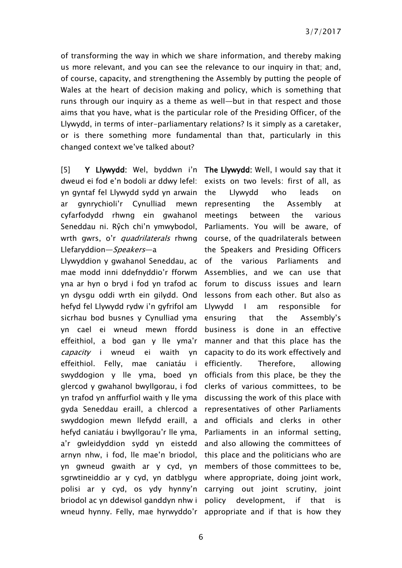of transforming the way in which we share information, and thereby making us more relevant, and you can see the relevance to our inquiry in that; and, of course, capacity, and strengthening the Assembly by putting the people of Wales at the heart of decision making and policy, which is something that runs through our inquiry as a theme as well—but in that respect and those aims that you have, what is the particular role of the Presiding Officer, of the Llywydd, in terms of inter-parliamentary relations? Is it simply as a caretaker, or is there something more fundamental than that, particularly in this changed context we've talked about?

[5] Y Llywydd: Wel, byddwn i'n The Llywydd: Well, I would say that it dweud ei fod e'n bodoli ar ddwy lefel: yn gyntaf fel Llywydd sydd yn arwain ar gynrychioli'r Cynulliad mewn cyfarfodydd rhwng ein gwahanol Seneddau ni. Rŷch chi'n ymwybodol, wrth gwrs, o'r *quadrilaterals* rhwng course, of the quadrilaterals between Llefaryddion—Speakers—a

Llywyddion y gwahanol Seneddau, ac of the various Parliaments and mae modd inni ddefnyddio'r fforwm yna ar hyn o bryd i fod yn trafod ac forum to discuss issues and learn yn dysgu oddi wrth ein gilydd. Ond lessons from each other. But also as hefyd fel Llywydd rydw i'n gyfrifol am sicrhau bod busnes y Cynulliad yma yn cael ei wneud mewn ffordd effeithiol, a bod gan y lle yma'r capacity i wneud ei waith yn effeithiol. Felly, mae caniatáu i swyddogion y lle yma, boed yn glercod y gwahanol bwyllgorau, i fod yn trafod yn anffurfiol waith y lle yma gyda Seneddau eraill, a chlercod a swyddogion mewn llefydd eraill, a hefyd caniatáu i bwyllgorau'r lle yma, a'r gwleidyddion sydd yn eistedd arnyn nhw, i fod, lle mae'n briodol, yn gwneud gwaith ar y cyd, yn sgrwtineiddio ar y cyd, yn datblygu polisi ar y cyd, os ydy hynny'n carrying out joint scrutiny, joint briodol ac yn ddewisol ganddyn nhw i wneud hynny. Felly, mae hyrwyddo'r appropriate and if that is how they

exists on two levels: first of all, as the Llywydd who leads on representing the Assembly at meetings between the various Parliaments. You will be aware, of the Speakers and Presiding Officers Assemblies, and we can use that Llywydd I am responsible for ensuring that the Assembly's business is done in an effective manner and that this place has the capacity to do its work effectively and efficiently. Therefore, allowing officials from this place, be they the clerks of various committees, to be discussing the work of this place with representatives of other Parliaments and officials and clerks in other Parliaments in an informal setting, and also allowing the committees of this place and the politicians who are members of those committees to be, where appropriate, doing joint work, policy development, if that is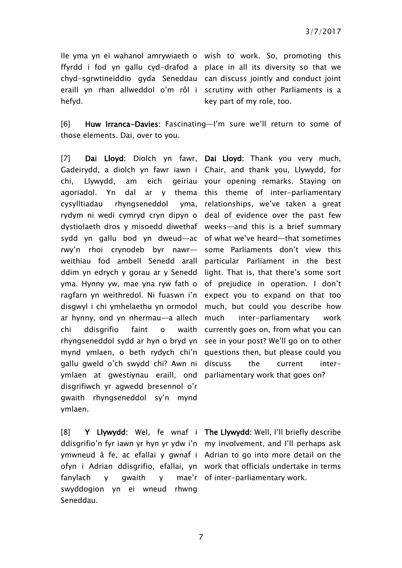lle yma yn ei wahanol amrywiaeth o wish to work. So, promoting this ffyrdd i fod yn gallu cyd-drafod a place in all its diversity so that we chyd-sgrwtineiddio gyda Seneddau can discuss jointly and conduct joint eraill yn rhan allweddol o'm rôl i scrutiny with other Parliaments is a hefyd.

key part of my role, too.

[6] Huw Irranca-Davies: Fascinating—I'm sure we'll return to some of those elements. Dai, over to you.

[7] Dai Lloyd: Diolch yn fawr, Dai Lloyd: Thank you very much, Gadeirydd, a diolch yn fawr iawn i Chair, and thank you, Llywydd, for chi, Llywydd, am eich geiriau your opening remarks. Staying on agoriadol. Yn dal ar y thema this theme of inter-parliamentary cysylltiadau rhyngseneddol rydym ni wedi cymryd cryn dipyn o deal of evidence over the past few dystiolaeth dros y misoedd diwethaf weeks—and this is a brief summary sydd yn gallu bod yn dweud—ac of what we've heard—that sometimes rwy'n rhoi crynodeb byr nawr weithiau fod ambell Senedd arall particular Parliament in the best ddim yn edrych y gorau ar y Senedd light. That is, that there's some sort yma. Hynny yw, mae yna ryw fath o of prejudice in operation. I don't ragfarn yn weithredol. Ni fuaswn i'n expect you to expand on that too disgwyl i chi ymhelaethu yn ormodol much, but could you describe how ar hynny, ond yn nhermau—a allech chi ddisgrifio faint o waith rhyngseneddol sydd ar hyn o bryd yn see in your post? We'll go on to other mynd ymlaen, o beth rydych chi'n questions then, but please could you gallu gweld o'ch swydd chi? Awn ni ymlaen at gwestiynau eraill, ond parliamentary work that goes on? disgrifiwch yr agwedd bresennol o'r gwaith rhyngseneddol sy'n mynd ymlaen.

[8] Y Llywydd: Wel, fe wnaf i The Llywydd: Well, I'll briefly describe ddisgrifio'n fyr iawn yr hyn yr ydw i'n my involvement, and I'll perhaps ask ymwneud â fe, ac efallai y gwnaf i Adrian to go into more detail on the ofyn i Adrian ddisgrifio, efallai, yn work that officials undertake in terms fanylach y gwaith y swyddogion yn ei wneud rhwng Seneddau.

vma, relationships, we've taken a great some Parliaments don't view this much inter-parliamentary work currently goes on, from what you can discuss the current inter-

mae'r of inter-parliamentary work.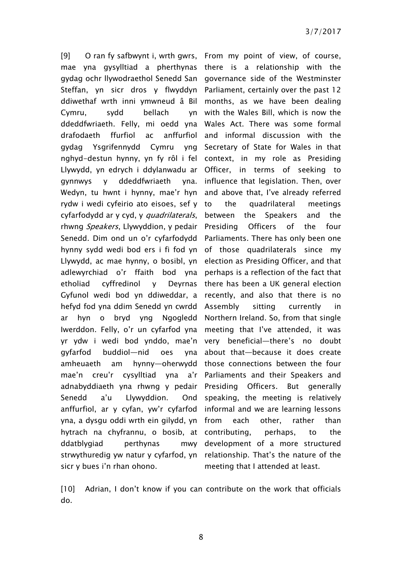[9] O ran fy safbwynt i, wrth gwrs, From my point of view, of course, mae yna gysylltiad a pherthynas there is a relationship with the gydag ochr llywodraethol Senedd San governance side of the Westminster Steffan, yn sicr dros y flwyddyn Parliament, certainly over the past 12 ddiwethaf wrth inni ymwneud â Bil months, as we have been dealing Cymru, sydd bellach ddeddfwriaeth. Felly, mi oedd yna Wales Act. There was some formal drafodaeth ffurfiol ac gydag Ysgrifennydd Cymru yng nghyd-destun hynny, yn fy rôl i fel context, in my role as Presiding Llywydd, yn edrych i ddylanwadu ar Officer, in terms of seeking to gynnwys y ddeddfwriaeth yna. Wedyn, tu hwnt i hynny, mae'r hyn and above that, I've already referred rydw i wedi cyfeirio ato eisoes, sef y cyfarfodydd ar y cyd, y quadrilaterals, rhwng Speakers, Llywyddion, y pedair Presiding Officers of the four Senedd. Dim ond un o'r cyfarfodydd Parliaments. There has only been one hynny sydd wedi bod ers i fi fod yn of those quadrilaterals since my Llywydd, ac mae hynny, o bosibl, yn election as Presiding Officer, and that adlewyrchiad o'r ffaith bod yna etholiad cyffredinol y Deyrnas Gyfunol wedi bod yn ddiweddar, a recently, and also that there is no hefyd fod yna ddim Senedd yn cwrdd ar hyn o bryd yng Iwerddon. Felly, o'r un cyfarfod yna meeting that I've attended, it was yr ydw i wedi bod ynddo, mae'n very beneficial—there's no doubt gyfarfod buddiol—nid oes yna amheuaeth am hynny—oherwydd those connections between the four mae'n creu'r cysylltiad yna a'r Parliaments and their Speakers and adnabyddiaeth yna rhwng y pedair Presiding Officers. But generally Senedd a'u Llywyddion. Ond anffurfiol, ar y cyfan, yw'r cyfarfod informal and we are learning lessons yna, a dysgu oddi wrth ein gilydd, yn hytrach na chyfrannu, o bosib, at contributing, perhaps, to the ddatblygiad perthynas mwy strwythuredig yw natur y cyfarfod, yn relationship. That's the nature of the sicr y bues i'n rhan ohono.

with the Wales Bill, which is now the anffurfiol and informal discussion with the Secretary of State for Wales in that influence that legislation. Then, over the quadrilateral meetings between the Speakers and the perhaps is a reflection of the fact that there has been a UK general election sitting currently in Notern Ireland. So, from that single about that—because it does create speaking, the meeting is relatively each other, rather than development of a more structured meeting that I attended at least.

[10] Adrian, I don't know if you can contribute on the work that officials do.

8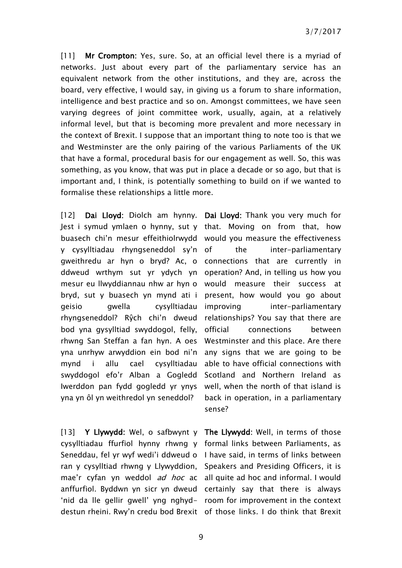[11] Mr Crompton: Yes, sure. So, at an official level there is a myriad of networks. Just about every part of the parliamentary service has an equivalent network from the other institutions, and they are, across the board, very effective, I would say, in giving us a forum to share information, intelligence and best practice and so on. Amongst committees, we have seen varying degrees of joint committee work, usually, again, at a relatively informal level, but that is becoming more prevalent and more necessary in the context of Brexit. I suppose that an important thing to note too is that we and Westminster are the only pairing of the various Parliaments of the UK that have a formal, procedural basis for our engagement as well. So, this was something, as you know, that was put in place a decade or so ago, but that is important and, I think, is potentially something to build on if we wanted to formalise these relationships a little more.

[12] Dai Lloyd: Diolch am hynny. Dai Lloyd: Thank you very much for Jest i symud ymlaen o hynny, sut y that. Moving on from that, how buasech chi'n mesur effeithiolrwydd would you measure the effectiveness y cysylltiadau rhyngseneddol sy'n gweithredu ar hyn o bryd? Ac, o connections that are currently in ddweud wrthym sut yr ydych yn operation? And, in telling us how you mesur eu llwyddiannau nhw ar hyn o would measure their success at bryd, sut y buasech yn mynd ati i present, how would you go about geisio gwella cysylltiadau rhyngseneddol? Rŷch chi'n dweud bod yna gysylltiad swyddogol, felly, rhwng San Steffan a fan hyn. A oes yna unrhyw arwyddion ein bod ni'n mynd i allu cael cysylltiadau swyddogol efo'r Alban a Gogledd Iwerddon pan fydd gogledd yr ynys yna yn ôl yn weithredol yn seneddol?

the inter-parliamentary inter-parliamentary relationships? You say that there are official connections between Westminster and this place. Are there any signs that we are going to be able to have official connections with Scotland and Northern Ireland as well, when the north of that island is back in operation, in a parliamentary sense?

[13] Y Llywydd: Wel, o safbwynt y The Llywydd: Well, in terms of those cysylltiadau ffurfiol hynny rhwng y formal links between Parliaments, as Seneddau, fel yr wyf wedi'i ddweud o I have said, in terms of links between ran y cysylltiad rhwng y Llywyddion, Speakers and Presiding Officers, it is mae'r cyfan yn weddol *ad hoc* ac all quite ad hoc and informal. I would anffurfiol. Byddwn yn sicr yn dweud certainly say that there is always 'nid da lle gellir gwell' yng nghyd-room for improvement in the context destun rheini. Rwy'n credu bod Brexit of those links. I do think that Brexit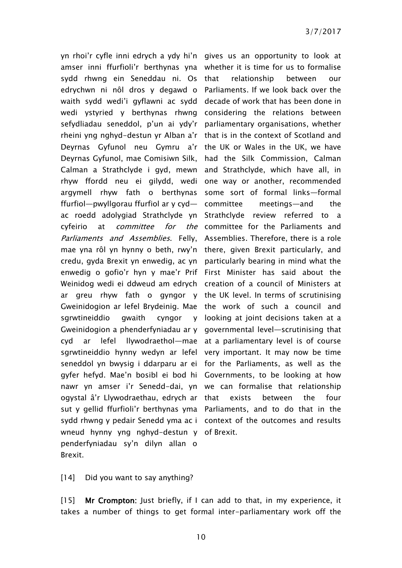yn rhoi'r cyfle inni edrych a ydy hi'n gives us an opportunity to look at amser inni ffurfioli'r berthynas yna whether it is time for us to formalise sydd rhwng ein Seneddau ni. Os edrychwn ni nôl dros y degawd o Parliaments. If we look back over the waith sydd wedi'i gyflawni ac sydd decade of work that has been done in wedi ystyried y berthynas rhwng considering the relations between sefydliadau seneddol, p'un ai ydy'r parliamentary organisations, whether rheini yng nghyd-destun yr Alban a'r that is in the context of Scotland and Deyrnas Gyfunol neu Gymru a'r the UK or Wales in the UK, we have Deyrnas Gyfunol, mae Comisiwn Silk, had the Silk Commission, Calman Calman a Strathclyde i gyd, mewn and Strathclyde, which have all, in rhyw ffordd neu ei gilydd, wedi one way or another, recommended argymell rhyw fath o berthynas some sort of formal links—formal ffurfiol—pwyllgorau ffurfiol ar y cyd ac roedd adolygiad Strathclyde yn Strathclyde review referred to a cyfeirio at *committee for* Parliaments and Assemblies. Felly, Assemblies. Therefore, there is a role mae yna rôl yn hynny o beth, rwy'n there, given Brexit particularly, and credu, gyda Brexit yn enwedig, ac yn particularly bearing in mind what the enwedig o gofio'r hyn y mae'r Prif First Minister has said about the Weinidog wedi ei ddweud am edrych creation of a council of Ministers at ar greu rhyw fath o gyngor y the UK level. In terms of scrutinising Gweinidogion ar lefel Brydeinig. Mae the work of such a council and sgrwtineiddio gwaith Gweinidogion a phenderfyniadau ar y governmental level—scrutinising that cyd ar lefel llywodraethol—mae at a parliamentary level is of course sgrwtineiddio hynny wedyn ar lefel very important. It may now be time seneddol yn bwysig i ddarparu ar ei for the Parliaments, as well as the gyfer hefyd. Mae'n bosibl ei bod hi Governments, to be looking at how nawr yn amser i'r Senedd-dai, yn we can formalise that relationship ogystal â'r Llywodraethau, edrych ar sut y gellid ffurfioli'r berthynas yma Parliaments, and to do that in the sydd rhwng y pedair Senedd yma ac i context of the outcomes and results wneud hynny yng nghyd-destun y of Brexit. penderfyniadau sy'n dilyn allan o Brexit.

relationship between our  $meetinas$ —and the the committee for the Parliaments and  $c$ yngor  $v$  looking at joint decisions taken at a exists between the four

#### [14] Did you want to say anything?

[15] Mr Crompton: Just briefly, if I can add to that, in my experience, it takes a number of things to get formal inter-parliamentary work off the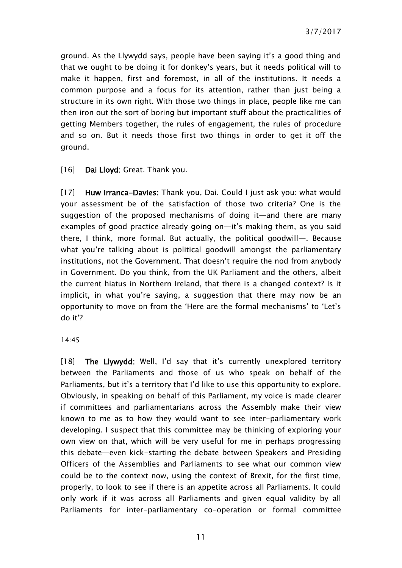ground. As the Llywydd says, people have been saying it's a good thing and that we ought to be doing it for donkey's years, but it needs political will to make it happen, first and foremost, in all of the institutions. It needs a common purpose and a focus for its attention, rather than just being a structure in its own right. With those two things in place, people like me can then iron out the sort of boring but important stuff about the practicalities of getting Members together, the rules of engagement, the rules of procedure and so on. But it needs those first two things in order to get it off the ground.

[16] Dai Lloyd: Great. Thank you.

[17] Huw Irranca-Davies: Thank you, Dai. Could I just ask you: what would your assessment be of the satisfaction of those two criteria? One is the suggestion of the proposed mechanisms of doing it—and there are many examples of good practice already going on—it's making them, as you said there, I think, more formal. But actually, the political goodwill—. Because what you're talking about is political goodwill amongst the parliamentary institutions, not the Government. That doesn't require the nod from anybody in Government. Do you think, from the UK Parliament and the others, albeit the current hiatus in Northern Ireland, that there is a changed context? Is it implicit, in what you're saying, a suggestion that there may now be an opportunity to move on from the 'Here are the formal mechanisms' to 'Let's do it'?

#### 14:45

[18] The Llywydd: Well, I'd say that it's currently unexplored territory between the Parliaments and those of us who speak on behalf of the Parliaments, but it's a territory that I'd like to use this opportunity to explore. Obviously, in speaking on behalf of this Parliament, my voice is made clearer if committees and parliamentarians across the Assembly make their view known to me as to how they would want to see inter-parliamentary work developing. I suspect that this committee may be thinking of exploring your own view on that, which will be very useful for me in perhaps progressing this debate—even kick-starting the debate between Speakers and Presiding Officers of the Assemblies and Parliaments to see what our common view could be to the context now, using the context of Brexit, for the first time, properly, to look to see if there is an appetite across all Parliaments. It could only work if it was across all Parliaments and given equal validity by all Parliaments for inter-parliamentary co-operation or formal committee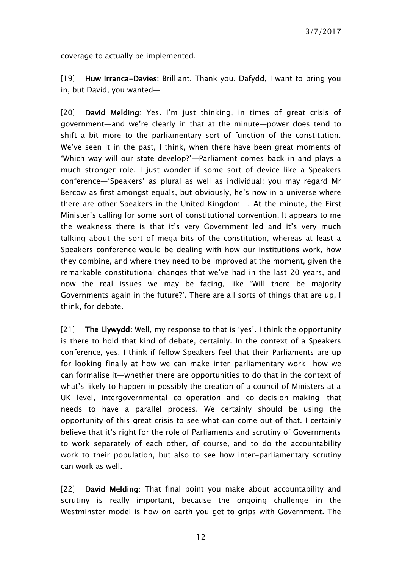coverage to actually be implemented.

[19] Huw Irranca-Davies: Brilliant. Thank you. Dafydd, I want to bring you in, but David, you wanted—

[20] David Melding: Yes. I'm just thinking, in times of great crisis of government—and we're clearly in that at the minute—power does tend to shift a bit more to the parliamentary sort of function of the constitution. We've seen it in the past, I think, when there have been great moments of 'Which way will our state develop?'—Parliament comes back in and plays a much stronger role. I just wonder if some sort of device like a Speakers conference—'Speakers' as plural as well as individual; you may regard Mr Bercow as first amongst equals, but obviously, he's now in a universe where there are other Speakers in the United Kingdom—. At the minute, the First Minister's calling for some sort of constitutional convention. It appears to me the weakness there is that it's very Government led and it's very much talking about the sort of mega bits of the constitution, whereas at least a Speakers conference would be dealing with how our institutions work, how they combine, and where they need to be improved at the moment, given the remarkable constitutional changes that we've had in the last 20 years, and now the real issues we may be facing, like 'Will there be majority Governments again in the future?'. There are all sorts of things that are up, I think, for debate.

[21] The Llywydd: Well, my response to that is 'yes'. I think the opportunity is there to hold that kind of debate, certainly. In the context of a Speakers conference, yes, I think if fellow Speakers feel that their Parliaments are up for looking finally at how we can make inter-parliamentary work—how we can formalise it—whether there are opportunities to do that in the context of what's likely to happen in possibly the creation of a council of Ministers at a UK level, intergovernmental co-operation and co-decision-making—that needs to have a parallel process. We certainly should be using the opportunity of this great crisis to see what can come out of that. I certainly believe that it's right for the role of Parliaments and scrutiny of Governments to work separately of each other, of course, and to do the accountability work to their population, but also to see how inter-parliamentary scrutiny can work as well.

[22] David Melding: That final point you make about accountability and scrutiny is really important, because the ongoing challenge in the Westminster model is how on earth you get to grips with Government. The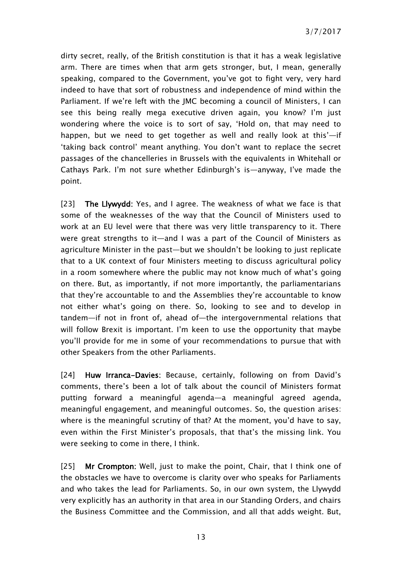dirty secret, really, of the British constitution is that it has a weak legislative arm. There are times when that arm gets stronger, but, I mean, generally speaking, compared to the Government, you've got to fight very, very hard indeed to have that sort of robustness and independence of mind within the Parliament. If we're left with the JMC becoming a council of Ministers, I can see this being really mega executive driven again, you know? I'm just wondering where the voice is to sort of say, 'Hold on, that may need to happen, but we need to get together as well and really look at this'—if 'taking back control' meant anything. You don't want to replace the secret passages of the chancelleries in Brussels with the equivalents in Whitehall or Cathays Park. I'm not sure whether Edinburgh's is—anyway, I've made the point.

[23] The Llywydd: Yes, and I agree. The weakness of what we face is that some of the weaknesses of the way that the Council of Ministers used to work at an EU level were that there was very little transparency to it. There were great strengths to it—and I was a part of the Council of Ministers as agriculture Minister in the past—but we shouldn't be looking to just replicate that to a UK context of four Ministers meeting to discuss agricultural policy in a room somewhere where the public may not know much of what's going on there. But, as importantly, if not more importantly, the parliamentarians that they're accountable to and the Assemblies they're accountable to know not either what's going on there. So, looking to see and to develop in tandem—if not in front of, ahead of—the intergovernmental relations that will follow Brexit is important. I'm keen to use the opportunity that maybe you'll provide for me in some of your recommendations to pursue that with other Speakers from the other Parliaments.

[24] Huw Irranca-Davies: Because, certainly, following on from David's comments, there's been a lot of talk about the council of Ministers format putting forward a meaningful agenda—a meaningful agreed agenda, meaningful engagement, and meaningful outcomes. So, the question arises: where is the meaningful scrutiny of that? At the moment, you'd have to say, even within the First Minister's proposals, that that's the missing link. You were seeking to come in there, I think.

[25] Mr Crompton: Well, just to make the point, Chair, that I think one of the obstacles we have to overcome is clarity over who speaks for Parliaments and who takes the lead for Parliaments. So, in our own system, the Llywydd very explicitly has an authority in that area in our Standing Orders, and chairs the Business Committee and the Commission, and all that adds weight. But,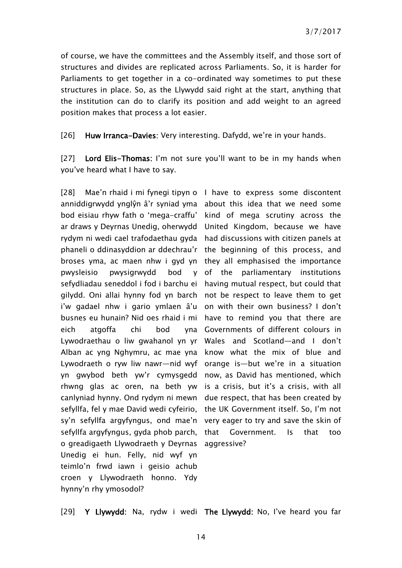of course, we have the committees and the Assembly itself, and those sort of structures and divides are replicated across Parliaments. So, it is harder for Parliaments to get together in a co-ordinated way sometimes to put these structures in place. So, as the Llywydd said right at the start, anything that the institution can do to clarify its position and add weight to an agreed position makes that process a lot easier.

[26] Huw Irranca-Davies: Very interesting. Dafydd, we're in your hands.

[27] Lord Elis-Thomas: I'm not sure you'll want to be in my hands when you've heard what I have to say.

[28] Mae'n rhaid i mi fynegi tipyn o I have to express some discontent anniddigrwydd ynglŷn â'r syniad yma about this idea that we need some bod eisiau rhyw fath o 'mega-craffu' kind of mega scrutiny across the ar draws y Deyrnas Unedig, oherwydd United Kingdom, because we have rydym ni wedi cael trafodaethau gyda had discussions with citizen panels at phaneli o ddinasyddion ar ddechrau'r the beginning of this process, and broses yma, ac maen nhw i gyd yn they all emphasised the importance pwysleisio pwysigrwydd bod sefydliadau seneddol i fod i barchu ei having mutual respect, but could that gilydd. Oni allai hynny fod yn barch not be respect to leave them to get i'w gadael nhw i gario ymlaen â'u on with their own business? I don't busnes eu hunain? Nid oes rhaid i mi have to remind you that there are eich atgoffa chi bod Lywodraethau o liw gwahanol yn yr Wales and Scotland—and I don't Alban ac yng Nghymru, ac mae yna know what the mix of blue and Lywodraeth o ryw liw nawr—nid wyf orange is—but we're in a situation yn gwybod beth yw'r cymysgedd now, as David has mentioned, which rhwng glas ac oren, na beth yw is a crisis, but it's a crisis, with all canlyniad hynny. Ond rydym ni mewn due respect, that has been created by sefyllfa, fel y mae David wedi cyfeirio, the UK Government itself. So, I'm not sy'n sefyllfa argyfyngus, ond mae'n very eager to try and save the skin of sefyllfa argyfyngus, gyda phob parch, o greadigaeth Llywodraeth y Deyrnas Unedig ei hun. Felly, nid wyf yn teimlo'n frwd iawn i geisio achub croen y Llywodraeth honno. Ydy hynny'n rhy ymosodol?

y of the parliamentary institutions Governments of different colours in Government. Is that too aggressive?

[29] Y Llywydd: Na, rydw i wedi The Llywydd: No, I've heard you far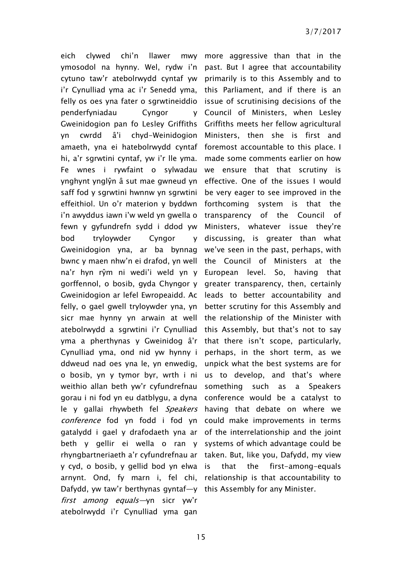eich clywed chi'n llawer ymosodol na hynny. Wel, rydw i'n past. But I agree that accountability cytuno taw'r atebolrwydd cyntaf yw primarily is to this Assembly and to i'r Cynulliad yma ac i'r Senedd yma, this Parliament, and if there is an felly os oes yna fater o sgrwtineiddio issue of scrutinising decisions of the penderfyniadau Cyngor Gweinidogion pan fo Lesley Griffiths Griffiths meets her fellow agricultural yn cwrdd â'i chyd-Weinidogion Ministers, then she is first and amaeth, yna ei hatebolrwydd cyntaf foremost accountable to this place. I hi, a'r sgrwtini cyntaf, yw i'r lle yma. Fe wnes i rywfaint o sylwadau ynghynt ynglŷn â sut mae gwneud yn saff fod y sgrwtini hwnnw yn sgrwtini effeithiol. Un o'r materion y byddwn forthcoming system is that the i'n awyddus iawn i'w weld yn gwella o fewn y gyfundrefn sydd i ddod yw bod tryloywder Cyngor Gweinidogion yna, ar ba bynnag we've seen in the past, perhaps, with bwnc y maen nhw'n ei drafod, yn well the Council of Ministers at the na'r hyn rŷm ni wedi'i weld yn y European level. So, having that gorffennol, o bosib, gyda Chyngor y greater transparency, then, certainly Gweinidogion ar lefel Ewropeaidd. Ac leads to better accountability and felly, o gael gwell tryloywder yna, yn sicr mae hynny yn arwain at well the relationship of the Minister with atebolrwydd a sgrwtini i'r Cynulliad this Assembly, but that's not to say yma a pherthynas y Gweinidog â'r that there isn't scope, particularly, Cynulliad yma, ond nid yw hynny i ddweud nad oes yna le, yn enwedig, o bosib, yn y tymor byr, wrth i ni weithio allan beth yw'r cyfundrefnau gorau i ni fod yn eu datblygu, a dyna le y gallai rhywbeth fel *Speakers* having that debate on where we conference fod yn fodd i fod yn could make improvements in terms gatalydd i gael y drafodaeth yna ar of the interrelationship and the joint beth y gellir ei wella o ran y systems of which advantage could be rhyngbartneriaeth a'r cyfundrefnau ar taken. But, like you, Dafydd, my view y cyd, o bosib, y gellid bod yn elwa arnynt. Ond, fy marn i, fel chi, relationship is that accountability to Dafydd, yw taw'r berthynas gyntaf—y this Assembly for any Minister.first among equals—yn sicr yw'r atebolrwydd i'r Cynulliad yma gan

mwy more aggressive than that in the Council of Ministers, when Lesley made some comments earlier on how we ensure that that scrutiny is effective. One of the issues I would be very eager to see improved in the transparency of the Council of Ministers, whatever issue they're discussing, is greater than what better scrutiny for this Assembly and perhaps, in the short term, as we unpick what the best systems are for us to develop, and that's where something such as a Speakers conference would be a catalyst to that the first-among-equals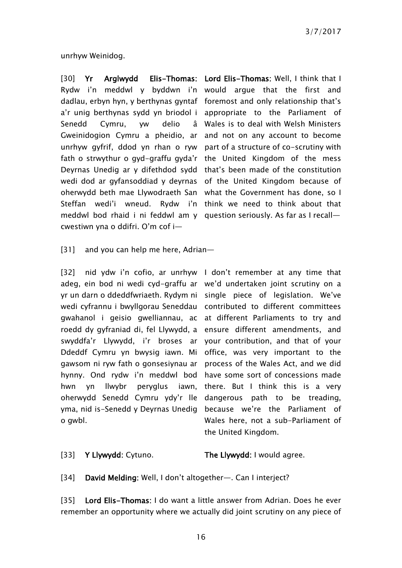unrhyw Weinidog.

Rydw i'n meddwl y byddwn i'n would argue that the first and dadlau, erbyn hyn, y berthynas gyntaf foremost and only relationship that's a'r unig berthynas sydd yn briodol i appropriate to the Parliament of Senedd Cymru, yw delio Gweinidogion Cymru a pheidio, ar and not on any account to become unrhyw gyfrif, ddod yn rhan o ryw part of a structure of co-scrutiny with fath o strwythur o gyd-graffu gyda'r the United Kingdom of the mess Deyrnas Unedig ar y difethdod sydd that's been made of the constitution wedi dod ar gyfansoddiad y deyrnas of the United Kingdom because of oherwydd beth mae Llywodraeth San what the Government has done, so I Steffan wedi'i wneud. Rydw i'n think we need to think about that meddwl bod rhaid i ni feddwl am y question seriously. As far as I recall cwestiwn yna o ddifri. O'm cof i—

[30] Yr Arglwydd Elis-Thomas: Lord Elis-Thomas: Well, I think that I Wales is to deal with Welsh Ministers

[31] and you can help me here, Adrian-

[32] nid ydw i'n cofio, ar unrhyw I don't remember at any time that adeg, ein bod ni wedi cyd-graffu ar we'd undertaken joint scrutiny on a yr un darn o ddeddfwriaeth. Rydym ni single piece of legislation. We've wedi cyfrannu i bwyllgorau Seneddau contributed to different committees gwahanol i geisio gwelliannau, ac at different Parliaments to try and roedd dy gyfraniad di, fel Llywydd, a ensure different amendments, and swyddfa'r Llywydd, i'r broses ar your contribution, and that of your Ddeddf Cymru yn bwysig iawn. Mi office, was very important to the gawsom ni ryw fath o gonsesiynau ar process of the Wales Act, and we did hynny. Ond rydw i'n meddwl bod have some sort of concessions made hwn yn llwybr oherwydd Senedd Cymru ydy'r lle dangerous path to be treading, yma, nid is-Senedd y Deyrnas Unedig because we're the Parliament of o gwbl.

pervalus jawn, there. But I think this is a very Wales here, not a sub-Parliament of the United Kingdom.

[33] Y Llywydd: Cytuno. The Llywydd: I would agree.

[34] David Melding: Well, I don't altogether—. Can I interject?

[35] Lord Elis-Thomas: I do want a little answer from Adrian. Does he ever remember an opportunity where we actually did joint scrutiny on any piece of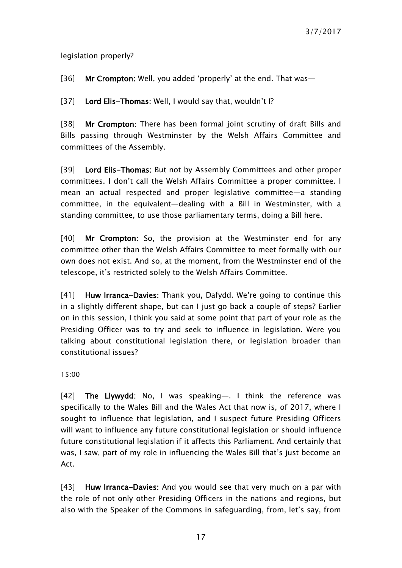legislation properly?

[36] Mr Crompton: Well, you added 'properly' at the end. That was-

[37] Lord Elis-Thomas: Well, I would say that, wouldn't I?

[38] Mr Crompton: There has been formal joint scrutiny of draft Bills and Bills passing through Westminster by the Welsh Affairs Committee and committees of the Assembly.

[39] Lord Elis-Thomas: But not by Assembly Committees and other proper committees. I don't call the Welsh Affairs Committee a proper committee. I mean an actual respected and proper legislative committee—a standing committee, in the equivalent—dealing with a Bill in Westminster, with a standing committee, to use those parliamentary terms, doing a Bill here.

[40] Mr Crompton: So, the provision at the Westminster end for any committee other than the Welsh Affairs Committee to meet formally with our own does not exist. And so, at the moment, from the Westminster end of the telescope, it's restricted solely to the Welsh Affairs Committee.

[41] Huw Irranca-Davies: Thank you, Dafydd. We're going to continue this in a slightly different shape, but can I just go back a couple of steps? Earlier on in this session, I think you said at some point that part of your role as the Presiding Officer was to try and seek to influence in legislation. Were you talking about constitutional legislation there, or legislation broader than constitutional issues?

15:00

[42] The Llywydd: No, I was speaking—. I think the reference was specifically to the Wales Bill and the Wales Act that now is, of 2017, where I sought to influence that legislation, and I suspect future Presiding Officers will want to influence any future constitutional legislation or should influence future constitutional legislation if it affects this Parliament. And certainly that was, I saw, part of my role in influencing the Wales Bill that's just become an Act.

[43] Huw Irranca-Davies: And you would see that very much on a par with the role of not only other Presiding Officers in the nations and regions, but also with the Speaker of the Commons in safeguarding, from, let's say, from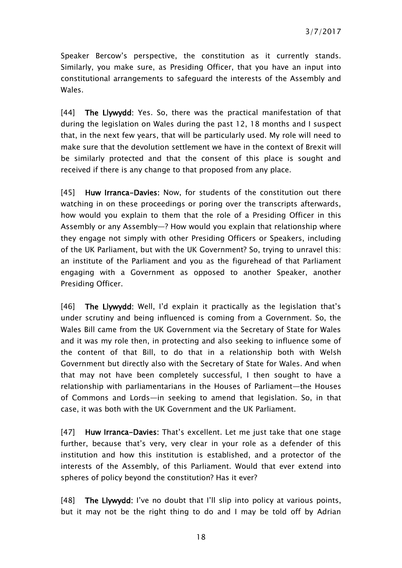Speaker Bercow's perspective, the constitution as it currently stands. Similarly, you make sure, as Presiding Officer, that you have an input into constitutional arrangements to safeguard the interests of the Assembly and Wales.

[44] The Llywydd: Yes. So, there was the practical manifestation of that during the legislation on Wales during the past 12, 18 months and I suspect that, in the next few years, that will be particularly used. My role will need to make sure that the devolution settlement we have in the context of Brexit will be similarly protected and that the consent of this place is sought and received if there is any change to that proposed from any place.

[45] Huw Irranca-Davies: Now, for students of the constitution out there watching in on these proceedings or poring over the transcripts afterwards, how would you explain to them that the role of a Presiding Officer in this Assembly or any Assembly—? How would you explain that relationship where they engage not simply with other Presiding Officers or Speakers, including of the UK Parliament, but with the UK Government? So, trying to unravel this: an institute of the Parliament and you as the figurehead of that Parliament engaging with a Government as opposed to another Speaker, another Presiding Officer.

[46] The Llywydd: Well, I'd explain it practically as the legislation that's under scrutiny and being influenced is coming from a Government. So, the Wales Bill came from the UK Government via the Secretary of State for Wales and it was my role then, in protecting and also seeking to influence some of the content of that Bill, to do that in a relationship both with Welsh Government but directly also with the Secretary of State for Wales. And when that may not have been completely successful, I then sought to have a relationship with parliamentarians in the Houses of Parliament—the Houses of Commons and Lords—in seeking to amend that legislation. So, in that case, it was both with the UK Government and the UK Parliament.

[47] Huw Irranca-Davies: That's excellent. Let me just take that one stage further, because that's very, very clear in your role as a defender of this institution and how this institution is established, and a protector of the interests of the Assembly, of this Parliament. Would that ever extend into spheres of policy beyond the constitution? Has it ever?

[48] The Llywydd: I've no doubt that I'll slip into policy at various points, but it may not be the right thing to do and I may be told off by Adrian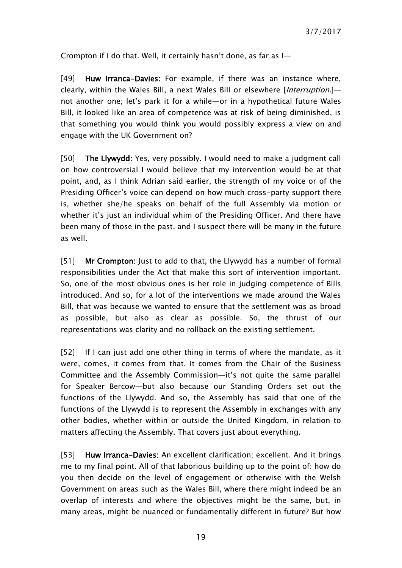Crompton if I do that. Well, it certainly hasn't done, as far as I—

[49] Huw Irranca-Davies: For example, if there was an instance where, clearly, within the Wales Bill, a next Wales Bill or elsewhere [Interruption.]not another one; let's park it for a while—or in a hypothetical future Wales Bill, it looked like an area of competence was at risk of being diminished, is that something you would think you would possibly express a view on and engage with the UK Government on?

[50] The Llywydd: Yes, very possibly. I would need to make a judgment call on how controversial I would believe that my intervention would be at that point, and, as I think Adrian said earlier, the strength of my voice or of the Presiding Officer's voice can depend on how much cross-party support there is, whether she/he speaks on behalf of the full Assembly via motion or whether it's just an individual whim of the Presiding Officer. And there have been many of those in the past, and I suspect there will be many in the future as well.

[51] Mr Crompton: Just to add to that, the Llywydd has a number of formal responsibilities under the Act that make this sort of intervention important. So, one of the most obvious ones is her role in judging competence of Bills introduced. And so, for a lot of the interventions we made around the Wales Bill, that was because we wanted to ensure that the settlement was as broad as possible, but also as clear as possible. So, the thrust of our representations was clarity and no rollback on the existing settlement.

[52] If I can just add one other thing in terms of where the mandate, as it were, comes, it comes from that. It comes from the Chair of the Business Committee and the Assembly Commission—it's not quite the same parallel for Speaker Bercow—but also because our Standing Orders set out the functions of the Llywydd. And so, the Assembly has said that one of the functions of the Llywydd is to represent the Assembly in exchanges with any other bodies, whether within or outside the United Kingdom, in relation to matters affecting the Assembly. That covers just about everything.

[53] Huw Irranca-Davies: An excellent clarification; excellent. And it brings me to my final point. All of that laborious building up to the point of: how do you then decide on the level of engagement or otherwise with the Welsh Government on areas such as the Wales Bill, where there might indeed be an overlap of interests and where the objectives might be the same, but, in many areas, might be nuanced or fundamentally different in future? But how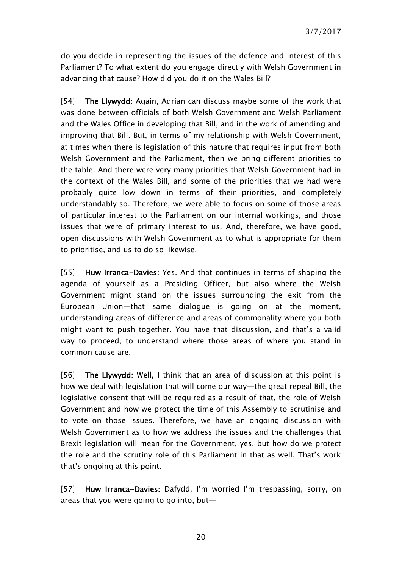do you decide in representing the issues of the defence and interest of this Parliament? To what extent do you engage directly with Welsh Government in advancing that cause? How did you do it on the Wales Bill?

[54] The Llywydd: Again, Adrian can discuss maybe some of the work that was done between officials of both Welsh Government and Welsh Parliament and the Wales Office in developing that Bill, and in the work of amending and improving that Bill. But, in terms of my relationship with Welsh Government, at times when there is legislation of this nature that requires input from both Welsh Government and the Parliament, then we bring different priorities to the table. And there were very many priorities that Welsh Government had in the context of the Wales Bill, and some of the priorities that we had were probably quite low down in terms of their priorities, and completely understandably so. Therefore, we were able to focus on some of those areas of particular interest to the Parliament on our internal workings, and those issues that were of primary interest to us. And, therefore, we have good, open discussions with Welsh Government as to what is appropriate for them to prioritise, and us to do so likewise.

[55] Huw Irranca-Davies: Yes. And that continues in terms of shaping the agenda of yourself as a Presiding Officer, but also where the Welsh Government might stand on the issues surrounding the exit from the European Union—that same dialogue is going on at the moment, understanding areas of difference and areas of commonality where you both might want to push together. You have that discussion, and that's a valid way to proceed, to understand where those areas of where you stand in common cause are.

[56] The Llywydd: Well, I think that an area of discussion at this point is how we deal with legislation that will come our way—the great repeal Bill, the legislative consent that will be required as a result of that, the role of Welsh Government and how we protect the time of this Assembly to scrutinise and to vote on those issues. Therefore, we have an ongoing discussion with Welsh Government as to how we address the issues and the challenges that Brexit legislation will mean for the Government, yes, but how do we protect the role and the scrutiny role of this Parliament in that as well. That's work that's ongoing at this point.

[57] Huw Irranca-Davies: Dafydd, I'm worried I'm trespassing, sorry, on areas that you were going to go into, but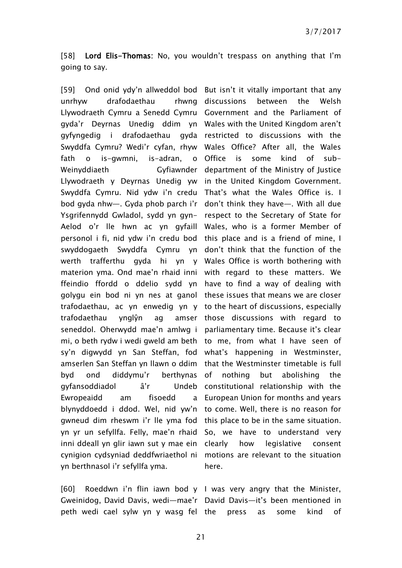[58] Lord Elis-Thomas: No, you wouldn't trespass on anything that I'm going to say.

unrhyw drafodaethau Llywodraeth Cymru a Senedd Cymru Government and the Parliament of gyda'r Deyrnas Unedig ddim yn Wales with the United Kingdom aren't gyfyngedig i drafodaethau gyda restricted to discussions with the Swyddfa Cymru? Wedi'r cyfan, rhyw Wales Office? After all, the Wales fath o is-gwmni, is-adran, o Office Weinyddiaeth Llywodraeth y Deyrnas Unedig yw in the United Kingdom Government. Swyddfa Cymru. Nid ydw i'n credu That's what the Wales Office is. I bod gyda nhw—. Gyda phob parch i'r don't think they have—. With all due Ysgrifennydd Gwladol, sydd yn gyn-respect to the Secretary of State for Aelod o'r lle hwn ac yn gyfaill Wales, who is a former Member of personol i fi, nid ydw i'n credu bod this place and is a friend of mine, I swyddogaeth Swyddfa Cymru yn don't think that the function of the werth trafferthu gyda hi yn y Wales Office is worth bothering with materion yma. Ond mae'n rhaid inni with regard to these matters. We ffeindio ffordd o ddelio sydd yn have to find a way of dealing with golygu ein bod ni yn nes at ganol these issues that means we are closer trafodaethau, ac yn enwedig yn y to the heart of discussions, especially trafodaethau ynglŷn ag seneddol. Oherwydd mae'n amlwg i parliamentary time. Because it's clear mi, o beth rydw i wedi gweld am beth to me, from what I have seen of sy'n digwydd yn San Steffan, fod what's happening in Westminster, amserlen San Steffan yn llawn o ddim that the Westminster timetable is full byd ond diddymu'r berthynas gyfansoddiadol â'r Ewropeaidd am fisoedd blynyddoedd i ddod. Wel, nid yw'n to come. Well, there is no reason for gwneud dim rheswm i'r lle yma fod this place to be in the same situation. yn yr un sefyllfa. Felly, mae'n rhaid So, we have to understand very inni ddeall yn glir iawn sut y mae ein clearly cynigion cydsyniad deddfwriaethol ni motions are relevant to the situation yn berthnasol i'r sefyllfa yma.

[59] Ond onid ydy'n allweddol bod But isn't it vitally important that any rhwng discussions between the Welsh is some kind of sub-Gyfiawnder department of the Ministry of Justice amser those discussions with regard to nothing but abolishing the Undeb constitutional relationship with the European Union for months and years how legislative consent here.

Gweinidog, David Davis, wedi—mae'r David Davis—it's been mentioned in peth wedi cael sylw yn y wasg fel the press as some kind of

[60] Roeddwn i'n flin iawn bod y I was very angry that the Minister,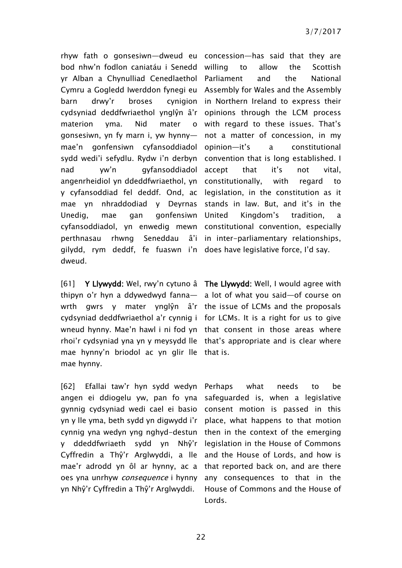rhyw fath o gonsesiwn—dweud eu concession—has said that they are bod nhw'n fodlon caniatáu i Senedd yr Alban a Chynulliad Cenedlaethol Parliament and the National Cymru a Gogledd Iwerddon fynegi eu Assembly for Wales and the Assembly barn drwy'r broses cynigion in Northern Ireland to express their cydsyniad deddfwriaethol ynglŷn â'r opinions through the LCM process materion yma. Nid mater gonsesiwn, yn fy marn i, yw hynny mae'n gonfensiwn cyfansoddiadol sydd wedi'i sefydlu. Rydw i'n derbyn convention that is long established. I nad yw'n gyfansoddiadol accept that it's not vital, angenrheidiol yn ddeddfwriaethol, yn constitutionally, with regard to y cyfansoddiad fel deddf. Ond, ac legislation, in the constitution as it mae yn nhraddodiad y Deyrnas stands in law. But, and it's in the Unedig, mae gan gonfensiwn United cyfansoddiadol, yn enwedig mewn constitutional convention, especially perthnasau rhwng Seneddau gilydd, rym deddf, fe fuaswn i'n does have legislative force, I'd say. dweud.

[61] Y Llywydd: Wel, rwy'n cytuno â The Llywydd: Well, I would agree with thipyn o'r hyn a ddywedwyd fanna— a lot of what you said—of course on wrth gwrs y mater ynglŷn â'r the issue of LCMs and the proposals cydsyniad deddfwriaethol a'r cynnig i for LCMs. It is a right for us to give wneud hynny. Mae'n hawl i ni fod yn that consent in those areas where rhoi'r cydsyniad yna yn y meysydd lle that's appropriate and is clear where mae hynny'n briodol ac yn glir lle that is. mae hynny.

[62] Efallai taw'r hyn sydd wedyn Perhaps what needs to be angen ei ddiogelu yw, pan fo yna gynnig cydsyniad wedi cael ei basio consent motion is passed in this yn y lle yma, beth sydd yn digwydd i'r cynnig yna wedyn yng nghyd-destun then in the context of the emerging y ddeddfwriaeth sydd yn Nhŷ'r legislation in the House of Commons Cyffredin a Thŷ'r Arglwyddi, a lle and the House of Lords, and how is mae'r adrodd yn ôl ar hynny, ac a oes yna unrhyw consequence i hynny yn Nhŷ'r Cyffredin a Thŷ'r Arglwyddi.

to allow the Scottish with regard to these issues. That's not a matter of concession, in my a constitutional Kingdom's tradition, a â'i in inter-parliamentary relationships,

safeguarded is, when a legislative place, what happens to that motion that reported back on, and are there any consequences to that in the House of Commons and the House of Lords.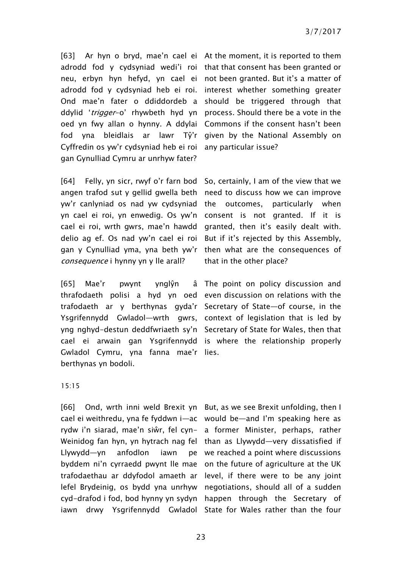[63] Ar hyn o bryd, mae'n cael ei At the moment, it is reported to them adrodd fod y cydsyniad wedi'i roi that that consent has been granted or neu, erbyn hyn hefyd, yn cael ei not been granted. But it's a matter of adrodd fod y cydsyniad heb ei roi. interest whether something greater Ond mae'n fater o ddiddordeb a should be triggered through that ddylid 'trigger-o' rhywbeth hyd yn process. Should there be a vote in the oed yn fwy allan o hynny. A ddylai Commons if the consent hasn't been fod yna bleidlais ar lawr Tŷ'r given by the National Assembly on Cyffredin os yw'r cydsyniad heb ei roi any particular issue? gan Gynulliad Cymru ar unrhyw fater?

[64] Felly, yn sicr, rwyf o'r farn bod angen trafod sut y gellid gwella beth need to discuss how we can improve yw'r canlyniad os nad yw cydsyniad the outcomes. yn cael ei roi, yn enwedig. Os yw'n consent is not granted. If it is cael ei roi, wrth gwrs, mae'n hawdd delio ag ef. Os nad yw'n cael ei roi But if it's rejected by this Assembly, gan y Cynulliad yma, yna beth yw'r then what are the consequences of consequence i hynny yn y lle arall?

[65] Mae'r pwynt ynglŷn thrafodaeth polisi a hyd yn oed even discussion on relations with the trafodaeth ar y berthynas gyda'r Secretary of State—of course, in the Ysgrifennydd Gwladol—wrth gwrs, context of legislation that is led by yng nghyd-destun deddfwriaeth sy'n Secretary of State for Wales, then that cael ei arwain gan Ysgrifennydd is where the relationship properly Gwladol Cymru, yna fanna mae'r lies. berthynas yn bodoli.

So, certainly, I am of the view that we particularly when granted, then it's easily dealt with. that in the other place?

The point on policy discussion and

#### 15:15

[66] Ond, wrth inni weld Brexit yn But, as we see Brexit unfolding, then I cael ei weithredu, yna fe fyddwn i—ac would be—and I'm speaking here as rydw i'n siarad, mae'n siŵr, fel cyn-a former Minister, perhaps, rather Weinidog fan hyn, yn hytrach nag fel than as Llywydd—very dissatisfied if Llywydd—yn anfodlon iawn byddem ni'n cyrraedd pwynt lle mae on the future of agriculture at the UK trafodaethau ar ddyfodol amaeth ar level, if there were to be any joint lefel Brydeinig, os bydd yna unrhyw negotiations, should all of a sudden cyd-drafod i fod, bod hynny yn sydyn happen through the Secretary of iawn drwy Ysgrifennydd Gwladol State for Wales rather than the four

we reached a point where discussions

23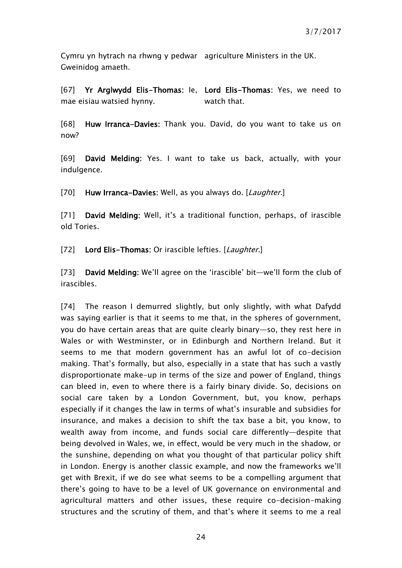Cymru yn hytrach na rhwng y pedwar agriculture Ministers in the UK. Gweinidog amaeth.

[67] Yr Arglwydd Elis-Thomas: Ie, Lord Elis-Thomas: Yes, we need to mae eisiau watsied hynny. watch that.

[68] Huw Irranca-Davies: Thank you. David, do you want to take us on now?

[69] David Melding: Yes. I want to take us back, actually, with your indulgence.

[70] Huw Irranca-Davies: Well, as you always do. [Laughter.]

[71] David Melding: Well, it's a traditional function, perhaps, of irascible old Tories.

[72] Lord Elis-Thomas: Or irascible lefties. [Laughter.]

[73] David Melding: We'll agree on the 'irascible' bit—we'll form the club of irascibles.

[74] The reason I demurred slightly, but only slightly, with what Dafydd was saying earlier is that it seems to me that, in the spheres of government, you do have certain areas that are quite clearly binary—so, they rest here in Wales or with Westminster, or in Edinburgh and Northern Ireland. But it seems to me that modern government has an awful lot of co-decision making. That's formally, but also, especially in a state that has such a vastly disproportionate make-up in terms of the size and power of England, things can bleed in, even to where there is a fairly binary divide. So, decisions on social care taken by a London Government, but, you know, perhaps especially if it changes the law in terms of what's insurable and subsidies for insurance, and makes a decision to shift the tax base a bit, you know, to wealth away from income, and funds social care differently—despite that being devolved in Wales, we, in effect, would be very much in the shadow, or the sunshine, depending on what you thought of that particular policy shift in London. Energy is another classic example, and now the frameworks we'll get with Brexit, if we do see what seems to be a compelling argument that there's going to have to be a level of UK governance on environmental and agricultural matters and other issues, these require co-decision-making structures and the scrutiny of them, and that's where it seems to me a real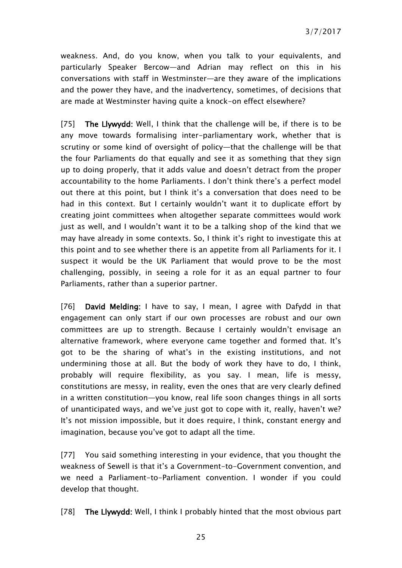weakness. And, do you know, when you talk to your equivalents, and particularly Speaker Bercow—and Adrian may reflect on this in his conversations with staff in Westminster—are they aware of the implications and the power they have, and the inadvertency, sometimes, of decisions that are made at Westminster having quite a knock-on effect elsewhere?

[75] The Llywydd: Well, I think that the challenge will be, if there is to be any move towards formalising inter-parliamentary work, whether that is scrutiny or some kind of oversight of policy—that the challenge will be that the four Parliaments do that equally and see it as something that they sign up to doing properly, that it adds value and doesn't detract from the proper accountability to the home Parliaments. I don't think there's a perfect model out there at this point, but I think it's a conversation that does need to be had in this context. But I certainly wouldn't want it to duplicate effort by creating joint committees when altogether separate committees would work just as well, and I wouldn't want it to be a talking shop of the kind that we may have already in some contexts. So, I think it's right to investigate this at this point and to see whether there is an appetite from all Parliaments for it. I suspect it would be the UK Parliament that would prove to be the most challenging, possibly, in seeing a role for it as an equal partner to four Parliaments, rather than a superior partner.

[76] David Melding: I have to say, I mean, I agree with Dafydd in that engagement can only start if our own processes are robust and our own committees are up to strength. Because I certainly wouldn't envisage an alternative framework, where everyone came together and formed that. It's got to be the sharing of what's in the existing institutions, and not undermining those at all. But the body of work they have to do, I think, probably will require flexibility, as you say. I mean, life is messy, constitutions are messy, in reality, even the ones that are very clearly defined in a written constitution—you know, real life soon changes things in all sorts of unanticipated ways, and we've just got to cope with it, really, haven't we? It's not mission impossible, but it does require, I think, constant energy and imagination, because you've got to adapt all the time.

[77] You said something interesting in your evidence, that you thought the weakness of Sewell is that it's a Government-to-Government convention, and we need a Parliament-to-Parliament convention. I wonder if you could develop that thought.

[78] The Llywydd: Well, I think I probably hinted that the most obvious part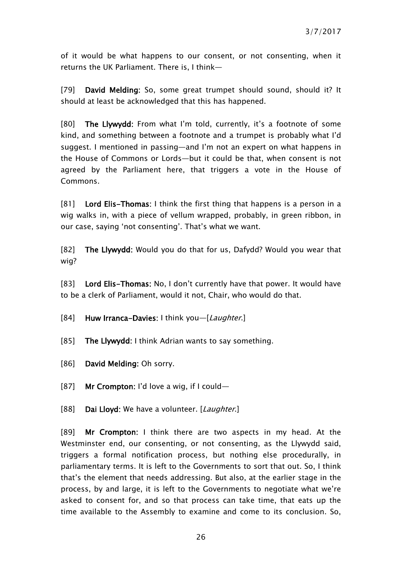of it would be what happens to our consent, or not consenting, when it returns the UK Parliament. There is, I think—

[79] David Melding: So, some great trumpet should sound, should it? It should at least be acknowledged that this has happened.

[80] The Llywydd: From what I'm told, currently, it's a footnote of some kind, and something between a footnote and a trumpet is probably what I'd suggest. I mentioned in passing—and I'm not an expert on what happens in the House of Commons or Lords—but it could be that, when consent is not agreed by the Parliament here, that triggers a vote in the House of Commons.

[81] Lord Elis-Thomas: I think the first thing that happens is a person in a wig walks in, with a piece of vellum wrapped, probably, in green ribbon, in our case, saying 'not consenting'. That's what we want.

[82] The Llywydd: Would you do that for us, Dafydd? Would you wear that wig?

[83] Lord Elis-Thomas: No, I don't currently have that power. It would have to be a clerk of Parliament, would it not, Chair, who would do that.

[84] Huw Irranca-Davies: I think you—[Laughter.]

- [85] The Llywydd: I think Adrian wants to say something.
- [86] David Melding: Oh sorry.
- [87] Mr Crompton: I'd love a wig, if I could—
- [88] Dai Lloyd: We have a volunteer. [Laughter.]

[89] Mr Crompton: I think there are two aspects in my head. At the Westminster end, our consenting, or not consenting, as the Llywydd said, triggers a formal notification process, but nothing else procedurally, in parliamentary terms. It is left to the Governments to sort that out. So, I think that's the element that needs addressing. But also, at the earlier stage in the process, by and large, it is left to the Governments to negotiate what we're asked to consent for, and so that process can take time, that eats up the time available to the Assembly to examine and come to its conclusion. So,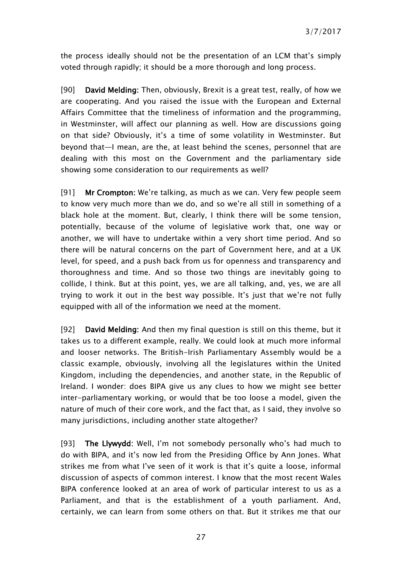the process ideally should not be the presentation of an LCM that's simply voted through rapidly; it should be a more thorough and long process.

[90] David Melding: Then, obviously, Brexit is a great test, really, of how we are cooperating. And you raised the issue with the European and External Affairs Committee that the timeliness of information and the programming, in Westminster, will affect our planning as well. How are discussions going on that side? Obviously, it's a time of some volatility in Westminster. But beyond that—I mean, are the, at least behind the scenes, personnel that are dealing with this most on the Government and the parliamentary side showing some consideration to our requirements as well?

[91] Mr Crompton: We're talking, as much as we can. Very few people seem to know very much more than we do, and so we're all still in something of a black hole at the moment. But, clearly, I think there will be some tension, potentially, because of the volume of legislative work that, one way or another, we will have to undertake within a very short time period. And so there will be natural concerns on the part of Government here, and at a UK level, for speed, and a push back from us for openness and transparency and thoroughness and time. And so those two things are inevitably going to collide, I think. But at this point, yes, we are all talking, and, yes, we are all trying to work it out in the best way possible. It's just that we're not fully equipped with all of the information we need at the moment.

[92] David Melding: And then my final question is still on this theme, but it takes us to a different example, really. We could look at much more informal and looser networks. The British-Irish Parliamentary Assembly would be a classic example, obviously, involving all the legislatures within the United Kingdom, including the dependencies, and another state, in the Republic of Ireland. I wonder: does BIPA give us any clues to how we might see better inter-parliamentary working, or would that be too loose a model, given the nature of much of their core work, and the fact that, as I said, they involve so many jurisdictions, including another state altogether?

[93] The Llywydd: Well, I'm not somebody personally who's had much to do with BIPA, and it's now led from the Presiding Office by Ann Jones. What strikes me from what I've seen of it work is that it's quite a loose, informal discussion of aspects of common interest. I know that the most recent Wales BIPA conference looked at an area of work of particular interest to us as a Parliament, and that is the establishment of a youth parliament. And, certainly, we can learn from some others on that. But it strikes me that our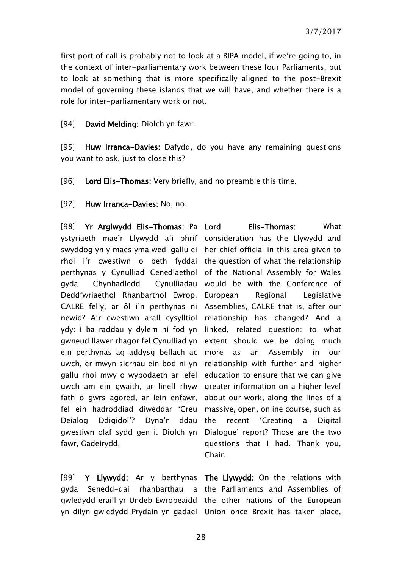first port of call is probably not to look at a BIPA model, if we're going to, in the context of inter-parliamentary work between these four Parliaments, but to look at something that is more specifically aligned to the post-Brexit model of governing these islands that we will have, and whether there is a role for inter-parliamentary work or not.

[94] **David Melding:** Diolch yn fawr.

[95] Huw Irranca-Davies: Dafydd, do you have any remaining questions you want to ask, just to close this?

[96] Lord Elis-Thomas: Very briefly, and no preamble this time.

[97] Huw Irranca-Davies: No. no.

[98] Yr Arglwydd Elis-Thomas: Pa ystyriaeth mae'r Llywydd a'i phrif consideration has the Llywydd and swyddog yn y maes yma wedi gallu ei her chief official in this area given to rhoi i'r cwestiwn o beth fyddai the question of what the relationship perthynas y Cynulliad Cenedlaethol of the National Assembly for Wales gyda Chynhadledd Deddfwriaethol Rhanbarthol Ewrop, European Regional Legislative CALRE felly, ar ôl i'n perthynas ni Assemblies, CALRE that is, after our newid? A'r cwestiwn arall cysylltiol relationship has changed? And a ydy: i ba raddau y dylem ni fod yn linked, related question: to what gwneud llawer rhagor fel Cynulliad yn extent should we be doing much ein perthynas ag addysg bellach ac uwch, er mwyn sicrhau ein bod ni yn relationship with further and higher gallu rhoi mwy o wybodaeth ar lefel education to ensure that we can give uwch am ein gwaith, ar linell rhyw greater information on a higher level fath o gwrs agored, ar-lein enfawr, about our work, along the lines of a fel ein hadroddiad diweddar 'Creu massive, open, online course, such as Deialog Ddigidol'? Dyna'r ddau gwestiwn olaf sydd gen i. Diolch yn Dialogue' report? Those are the two fawr, Gadeirydd.

[99] Y Llywydd: Ar y berthynas The Llywydd: On the relations with gyda Senedd-dai gwledydd eraill yr Undeb Ewropeaidd the other nations of the European yn dilyn gwledydd Prydain yn gadael Union once Brexit has taken place,

Elis-Thomas: What Cynulliadau would be with the Conference of as an Assembly in our recent 'Creating a Digital questions that I had. Thank you, Chair.

rhanbarthau a the Parliaments and Assemblies of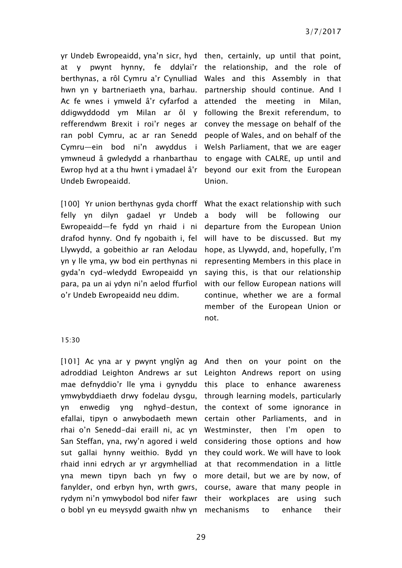yr Undeb Ewropeaidd, yna'n sicr, hyd then, certainly, up until that point, at y pwynt hynny, fe ddylai'r the relationship, and the role of berthynas, a rôl Cymru a'r Cynulliad Wales and this Assembly in that hwn yn y bartneriaeth yna, barhau. partnership should continue. And I Ac fe wnes i ymweld â'r cyfarfod a attended the meeting in Milan, ddigwyddodd ym Milan ar ôl y following the Brexit referendum, to refferendwm Brexit i roi'r neges ar convey the message on behalf of the ran pobl Cymru, ac ar ran Senedd people of Wales, and on behalf of the Cymru—ein bod ni'n awyddus i Welsh Parliament, that we are eager ymwneud â gwledydd a rhanbarthau to engage with CALRE, up until and Ewrop hyd at a thu hwnt i ymadael â'r Undeb Ewropeaidd.

[100] Yr union berthynas gyda chorff What the exact relationship with such felly yn dilyn gadael yr Undeb Ewropeaidd—fe fydd yn rhaid i ni drafod hynny. Ond fy ngobaith i, fel Llywydd, a gobeithio ar ran Aelodau yn y lle yma, yw bod ein perthynas ni gyda'n cyd-wledydd Ewropeaidd yn para, pa un ai ydyn ni'n aelod ffurfiol o'r Undeb Ewropeaidd neu ddim.

beyond our exit from the European Union.

a body will be following our departure from the European Union will have to be discussed. But my hope, as Llywydd, and, hopefully, I'm representing Members in this place in saying this, is that our relationship with our fellow European nations will continue, whether we are a formal member of the European Union or not.

#### 15:30

[101] Ac yna ar y pwynt ynglŷn ag And then on your point on the adroddiad Leighton Andrews ar sut Leighton Andrews report on using mae defnyddio'r lle yma i gynyddu this place to enhance awareness ymwybyddiaeth drwy fodelau dysgu, through learning models, particularly yn enwedig yng nghyd-destun, the context of some ignorance in efallai, tipyn o anwybodaeth mewn certain other Parliaments, and in rhai o'n Senedd-dai eraill ni, ac yn Westminster, then I'm open to San Steffan, yna, rwy'n agored i weld considering those options and how sut gallai hynny weithio. Bydd yn they could work. We will have to look rhaid inni edrych ar yr argymhelliad yna mewn tipyn bach yn fwy o more detail, but we are by now, of fanylder, ond erbyn hyn, wrth gwrs, course, aware that many people in rydym ni'n ymwybodol bod nifer fawr their workplaces are using such o bobl yn eu meysydd gwaith nhw yn mechanisms to enhance their

at that recommendation in a little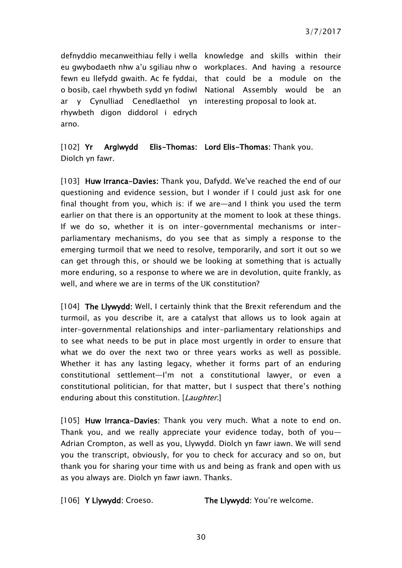defnyddio mecanweithiau felly i wella knowledge and skills within their eu gwybodaeth nhw a'u sgiliau nhw o workplaces. And having a resource fewn eu llefydd gwaith. Ac fe fyddai, that could be a module on the o bosib, cael rhywbeth sydd yn fodiwl National Assembly would be an ar y Cynulliad Cenedlaethol yn interesting proposal to look at. rhywbeth digon diddorol i edrych arno.

[102] Yr Arglwydd Elis-Thomas: Lord Elis-Thomas: Thank you. Diolch yn fawr.

[103] Huw Irranca-Davies: Thank you, Dafydd, We've reached the end of our questioning and evidence session, but I wonder if I could just ask for one final thought from you, which is: if we are—and I think you used the term earlier on that there is an opportunity at the moment to look at these things. If we do so, whether it is on inter-governmental mechanisms or interparliamentary mechanisms, do you see that as simply a response to the emerging turmoil that we need to resolve, temporarily, and sort it out so we can get through this, or should we be looking at something that is actually more enduring, so a response to where we are in devolution, quite frankly, as well, and where we are in terms of the UK constitution?

[104] The Llywydd: Well, I certainly think that the Brexit referendum and the turmoil, as you describe it, are a catalyst that allows us to look again at inter-governmental relationships and inter-parliamentary relationships and to see what needs to be put in place most urgently in order to ensure that what we do over the next two or three years works as well as possible. Whether it has any lasting legacy, whether it forms part of an enduring constitutional settlement—I'm not a constitutional lawyer, or even a constitutional politician, for that matter, but I suspect that there's nothing enduring about this constitution. [Laughter.]

[105] Huw Irranca-Davies: Thank you very much. What a note to end on. Thank you, and we really appreciate your evidence today, both of you— Adrian Crompton, as well as you, Llywydd. Diolch yn fawr iawn. We will send you the transcript, obviously, for you to check for accuracy and so on, but thank you for sharing your time with us and being as frank and open with us as you always are. Diolch yn fawr iawn. Thanks.

[106] Y Llywydd: Croeso. The Llywydd: You're welcome.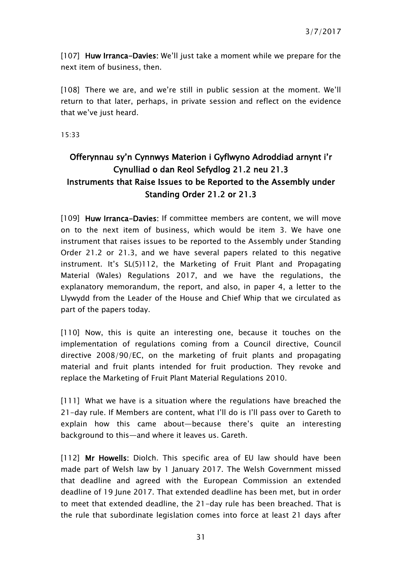[107] Huw Irranca-Davies: We'll just take a moment while we prepare for the next item of business, then.

[108] There we are, and we're still in public session at the moment. We'll return to that later, perhaps, in private session and reflect on the evidence that we've just heard.

15:33

# <span id="page-30-0"></span>Offerynnau sy'n Cynnwys Materion i Gyflwyno Adroddiad arnynt i'r Cynulliad o dan Reol Sefydlog 21.2 neu 21.3 Instruments that Raise Issues to be Reported to the Assembly under Standing Order 21.2 or 21.3

[109] Huw Irranca-Davies: If committee members are content, we will move on to the next item of business, which would be item 3. We have one instrument that raises issues to be reported to the Assembly under Standing Order 21.2 or 21.3, and we have several papers related to this negative instrument. It's SL(5)112, the Marketing of Fruit Plant and Propagating Material (Wales) Regulations 2017, and we have the regulations, the explanatory memorandum, the report, and also, in paper 4, a letter to the Llywydd from the Leader of the House and Chief Whip that we circulated as part of the papers today.

[110] Now, this is quite an interesting one, because it touches on the implementation of regulations coming from a Council directive, Council directive 2008/90/EC, on the marketing of fruit plants and propagating material and fruit plants intended for fruit production. They revoke and replace the Marketing of Fruit Plant Material Regulations 2010.

[111] What we have is a situation where the regulations have breached the 21-day rule. If Members are content, what I'll do is I'll pass over to Gareth to explain how this came about—because there's quite an interesting background to this—and where it leaves us. Gareth.

[112] Mr Howells: Diolch. This specific area of EU law should have been made part of Welsh law by 1 January 2017. The Welsh Government missed that deadline and agreed with the European Commission an extended deadline of 19 June 2017. That extended deadline has been met, but in order to meet that extended deadline, the 21-day rule has been breached. That is the rule that subordinate legislation comes into force at least 21 days after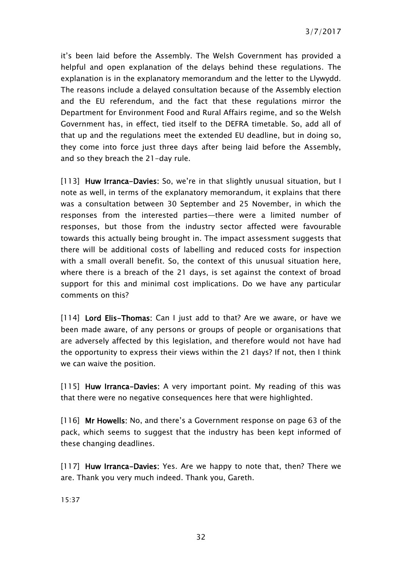it's been laid before the Assembly. The Welsh Government has provided a helpful and open explanation of the delays behind these regulations. The explanation is in the explanatory memorandum and the letter to the Llywydd. The reasons include a delayed consultation because of the Assembly election and the EU referendum, and the fact that these regulations mirror the Department for Environment Food and Rural Affairs regime, and so the Welsh Government has, in effect, tied itself to the DEFRA timetable. So, add all of that up and the regulations meet the extended EU deadline, but in doing so, they come into force just three days after being laid before the Assembly, and so they breach the 21-day rule.

[113] Huw Irranca-Davies: So, we're in that slightly unusual situation, but I note as well, in terms of the explanatory memorandum, it explains that there was a consultation between 30 September and 25 November, in which the responses from the interested parties—there were a limited number of responses, but those from the industry sector affected were favourable towards this actually being brought in. The impact assessment suggests that there will be additional costs of labelling and reduced costs for inspection with a small overall benefit. So, the context of this unusual situation here, where there is a breach of the 21 days, is set against the context of broad support for this and minimal cost implications. Do we have any particular comments on this?

[114] Lord Elis-Thomas: Can I just add to that? Are we aware, or have we been made aware, of any persons or groups of people or organisations that are adversely affected by this legislation, and therefore would not have had the opportunity to express their views within the 21 days? If not, then I think we can waive the position.

[115] Huw Irranca–Davies: A very important point. My reading of this was that there were no negative consequences here that were highlighted.

[116] Mr Howells: No, and there's a Government response on page 63 of the pack, which seems to suggest that the industry has been kept informed of these changing deadlines.

[117] Huw Irranca-Davies: Yes. Are we happy to note that, then? There we are. Thank you very much indeed. Thank you, Gareth.

15:37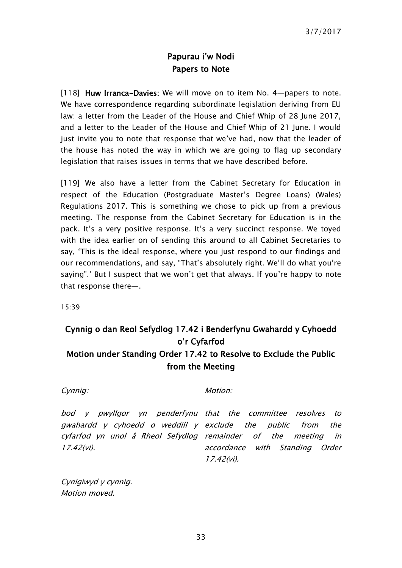## Papurau i'w Nodi Papers to Note

<span id="page-32-0"></span>[118] Huw Irranca-Davies: We will move on to item No. 4-papers to note. We have correspondence regarding subordinate legislation deriving from EU law: a letter from the Leader of the House and Chief Whip of 28 June 2017, and a letter to the Leader of the House and Chief Whip of 21 June. I would just invite you to note that response that we've had, now that the leader of the house has noted the way in which we are going to flag up secondary legislation that raises issues in terms that we have described before.

[119] We also have a letter from the Cabinet Secretary for Education in respect of the Education (Postgraduate Master's Degree Loans) (Wales) Regulations 2017. This is something we chose to pick up from a previous meeting. The response from the Cabinet Secretary for Education is in the pack. It's a very positive response. It's a very succinct response. We toyed with the idea earlier on of sending this around to all Cabinet Secretaries to say, 'This is the ideal response, where you just respond to our findings and our recommendations, and say, "That's absolutely right. We'll do what you're saying".' But I suspect that we won't get that always. If you're happy to note that response there—.

15:39

# <span id="page-32-1"></span>Cynnig o dan Reol Sefydlog 17.42 i Benderfynu Gwahardd y Cyhoedd o'r Cyfarfod Motion under Standing Order 17.42 to Resolve to Exclude the Public from the Meeting

Cynnig: Motion: Motion:

bod y pwyllgor yn penderfynu that the committee resolves to gwahardd y cyhoedd o weddill y exclude the public from the cyfarfod yn unol â Rheol Sefydlog remainder of the meeting in 17.42(vi).

accordance with Standing Order 17.42(vi).

Cynigiwyd y cynnig. Motion moved.